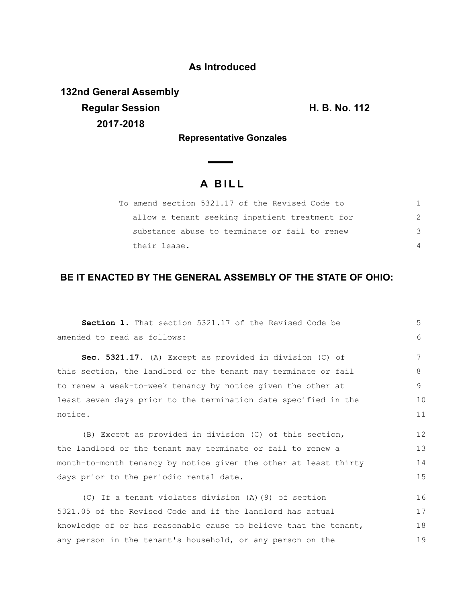## **As Introduced**

**132nd General Assembly Regular Session H. B. No. 112 2017-2018**

**Representative Gonzales**

 $\overline{\phantom{0}}$ 

## **A B I L L**

| To amend section 5321.17 of the Revised Code to |               |
|-------------------------------------------------|---------------|
| allow a tenant seeking inpatient treatment for  | $\mathcal{P}$ |
| substance abuse to terminate or fail to renew   | 3             |
| their lease.                                    |               |

## **BE IT ENACTED BY THE GENERAL ASSEMBLY OF THE STATE OF OHIO:**

| Section 1. That section 5321.17 of the Revised Code be           | 5  |
|------------------------------------------------------------------|----|
| amended to read as follows:                                      | 6  |
| Sec. 5321.17. (A) Except as provided in division (C) of          | 7  |
| this section, the landlord or the tenant may terminate or fail   | 8  |
| to renew a week-to-week tenancy by notice given the other at     | 9  |
| least seven days prior to the termination date specified in the  | 10 |
| notice.                                                          | 11 |
| (B) Except as provided in division (C) of this section,          | 12 |
| the landlord or the tenant may terminate or fail to renew a      | 13 |
| month-to-month tenancy by notice given the other at least thirty | 14 |
| days prior to the periodic rental date.                          | 15 |
| (C) If a tenant violates division (A) (9) of section             | 16 |
| 5321.05 of the Revised Code and if the landlord has actual       | 17 |
| knowledge of or has reasonable cause to believe that the tenant, | 18 |
| any person in the tenant's household, or any person on the       | 19 |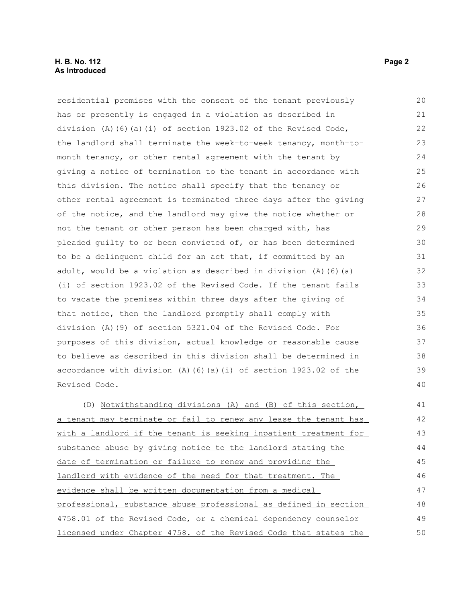## **H. B. No. 112 Page 2 As Introduced**

residential premises with the consent of the tenant previously has or presently is engaged in a violation as described in division (A)(6)(a)(i) of section  $1923.02$  of the Revised Code, the landlord shall terminate the week-to-week tenancy, month-tomonth tenancy, or other rental agreement with the tenant by giving a notice of termination to the tenant in accordance with this division. The notice shall specify that the tenancy or other rental agreement is terminated three days after the giving of the notice, and the landlord may give the notice whether or not the tenant or other person has been charged with, has pleaded guilty to or been convicted of, or has been determined to be a delinquent child for an act that, if committed by an adult, would be a violation as described in division (A)(6)(a) (i) of section 1923.02 of the Revised Code. If the tenant fails to vacate the premises within three days after the giving of that notice, then the landlord promptly shall comply with division (A)(9) of section 5321.04 of the Revised Code. For purposes of this division, actual knowledge or reasonable cause to believe as described in this division shall be determined in accordance with division  $(A)$  (6)(a)(i) of section 1923.02 of the Revised Code. (D) Notwithstanding divisions (A) and (B) of this section, a tenant may terminate or fail to renew any lease the tenant has with a landlord if the tenant is seeking inpatient treatment for substance abuse by giving notice to the landlord stating the date of termination or failure to renew and providing the landlord with evidence of the need for that treatment. The evidence shall be written documentation from a medical 20 21 22 23 24 25 26 27 28 29 30 31 32 33 34 35 36 37 38 39 40 41 42 43 44 45 46 47

 professional, substance abuse professional as defined in section 4758.01 of the Revised Code, or a chemical dependency counselor licensed under Chapter 4758. of the Revised Code that states the 48 49 50